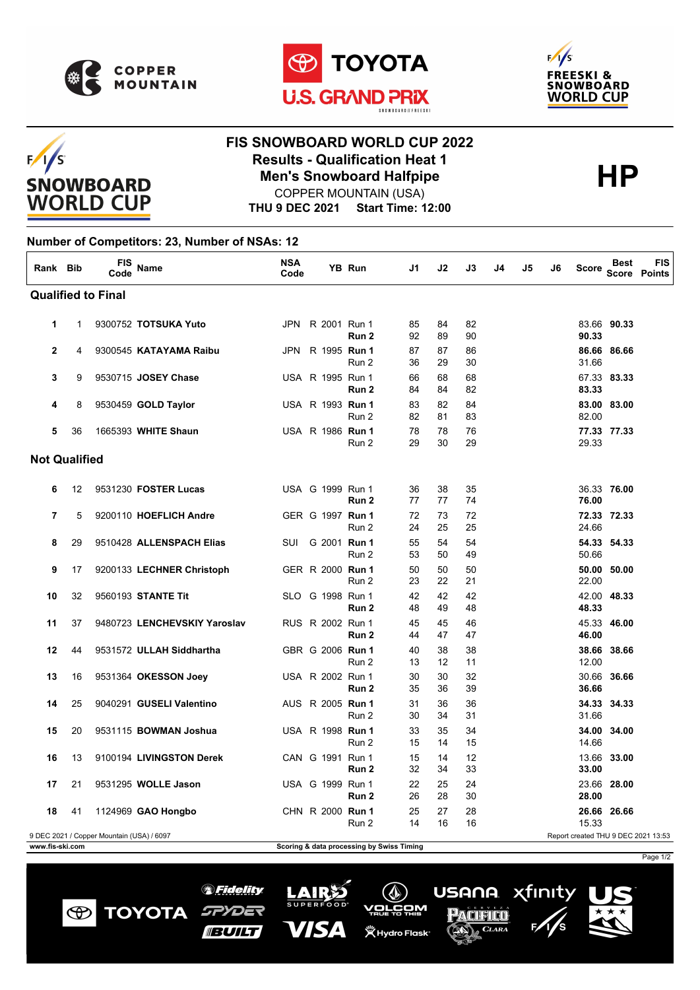

 $F/1/S$ 

**SNOWBOARD WORLD CUP** 





## **FIS SNOWBOARD WORLD CUP 2022 Results - Qualification Heat 1**<br>
Men's Snowboard Halfpipe<br>
COPPER MOUNTAIN (USA) COPPER MOUNTAIN (USA)

Page 1/2

xfinity

USANA

PACIFICO

 $CLARA$ 

 $(\mathbb{Q})$ <u>vorčom</u>

**义 Hydro Flask**\*

**THU 9 DEC 2021 Start Time: 12:00**

## **Number of Competitors: 23, Number of NSAs: 12**

| Rank Bib                  |    | FIS<br>Code                               | Name                         | <b>NSA</b><br>Code |                  | YB Run                                    | J1       | J2       | J3       | J4 | J5 | J6 | Score | <b>Best</b> | FIS<br><b>Score Points</b>          |
|---------------------------|----|-------------------------------------------|------------------------------|--------------------|------------------|-------------------------------------------|----------|----------|----------|----|----|----|-------|-------------|-------------------------------------|
| <b>Qualified to Final</b> |    |                                           |                              |                    |                  |                                           |          |          |          |    |    |    |       |             |                                     |
| 1                         | 1  |                                           | 9300752 TOTSUKA Yuto         |                    | JPN R 2001 Run 1 | Run 2                                     | 85<br>92 | 84<br>89 | 82<br>90 |    |    |    | 90.33 | 83.66 90.33 |                                     |
| $\mathbf{2}$              | 4  |                                           | 9300545 KATAYAMA Raibu       |                    | JPN R 1995 Run 1 | Run 2                                     | 87<br>36 | 87<br>29 | 86<br>30 |    |    |    | 31.66 | 86.66 86.66 |                                     |
| 3                         | 9  |                                           | 9530715 JOSEY Chase          |                    | USA R 1995 Run 1 | Run <sub>2</sub>                          | 66<br>84 | 68<br>84 | 68<br>82 |    |    |    | 83.33 | 67.33 83.33 |                                     |
| 4                         | 8  |                                           | 9530459 GOLD Taylor          |                    | USA R 1993 Run 1 | Run 2                                     | 83<br>82 | 82<br>81 | 84<br>83 |    |    |    | 82.00 | 83.00 83.00 |                                     |
| 5                         | 36 |                                           | 1665393 WHITE Shaun          |                    | USA R 1986 Run 1 | Run 2                                     | 78<br>29 | 78<br>30 | 76<br>29 |    |    |    | 29.33 | 77.33 77.33 |                                     |
| <b>Not Qualified</b>      |    |                                           |                              |                    |                  |                                           |          |          |          |    |    |    |       |             |                                     |
| 6                         | 12 |                                           | 9531230 FOSTER Lucas         |                    | USA G 1999 Run 1 | Run 2                                     | 36<br>77 | 38<br>77 | 35<br>74 |    |    |    | 76.00 | 36.33 76.00 |                                     |
| 7                         | 5  |                                           | 9200110 HOEFLICH Andre       |                    | GER G 1997 Run 1 | Run 2                                     | 72<br>24 | 73<br>25 | 72<br>25 |    |    |    | 24.66 | 72.33 72.33 |                                     |
| 8                         | 29 |                                           | 9510428 ALLENSPACH Elias     | SUI                | G 2001 Run 1     | Run 2                                     | 55<br>53 | 54<br>50 | 54<br>49 |    |    |    | 50.66 | 54.33 54.33 |                                     |
| 9                         | 17 |                                           | 9200133 LECHNER Christoph    |                    | GER R 2000 Run 1 | Run 2                                     | 50<br>23 | 50<br>22 | 50<br>21 |    |    |    | 22.00 | 50.00 50.00 |                                     |
| 10                        | 32 |                                           | 9560193 STANTE Tit           |                    | SLO G 1998 Run 1 | Run 2                                     | 42<br>48 | 42<br>49 | 42<br>48 |    |    |    | 48.33 | 42.00 48.33 |                                     |
| 11                        | 37 |                                           | 9480723 LENCHEVSKIY Yaroslav |                    | RUS R 2002 Run 1 | Run <sub>2</sub>                          | 45<br>44 | 45<br>47 | 46<br>47 |    |    |    | 46.00 | 45.33 46.00 |                                     |
| 12                        | 44 |                                           | 9531572 ULLAH Siddhartha     |                    | GBR G 2006 Run 1 | Run 2                                     | 40<br>13 | 38<br>12 | 38<br>11 |    |    |    | 12.00 | 38.66 38.66 |                                     |
| 13                        | 16 |                                           | 9531364 OKESSON Joey         |                    | USA R 2002 Run 1 | Run 2                                     | 30<br>35 | 30<br>36 | 32<br>39 |    |    |    | 36.66 | 30.66 36.66 |                                     |
| 14                        | 25 |                                           | 9040291 GUSELI Valentino     |                    | AUS R 2005 Run 1 | Run 2                                     | 31<br>30 | 36<br>34 | 36<br>31 |    |    |    | 31.66 | 34.33 34.33 |                                     |
| 15                        | 20 |                                           | 9531115 BOWMAN Joshua        |                    | USA R 1998 Run 1 | Run 2                                     | 33<br>15 | 35<br>14 | 34<br>15 |    |    |    | 14.66 | 34.00 34.00 |                                     |
| 16                        | 13 |                                           | 9100194 LIVINGSTON Derek     |                    | CAN G 1991 Run 1 | Run 2                                     | 15<br>32 | 14<br>34 | 12<br>33 |    |    |    | 33.00 | 13.66 33.00 |                                     |
| 17                        | 21 |                                           | 9531295 WOLLE Jason          |                    | USA G 1999 Run 1 | Run 2                                     | 22<br>26 | 25<br>28 | 24<br>30 |    |    |    | 28.00 | 23.66 28.00 |                                     |
| 18                        | 41 |                                           | 1124969 GAO Hongbo           |                    | CHN R 2000 Run 1 | Run 2                                     | 25<br>14 | 27<br>16 | 28<br>16 |    |    |    | 15.33 | 26.66 26.66 |                                     |
| www.fis-ski.com           |    | 9 DEC 2021 / Copper Mountain (USA) / 6097 |                              |                    |                  | Scoring & data processing by Swiss Timing |          |          |          |    |    |    |       |             | Report created THU 9 DEC 2021 13:53 |

*SFidelity* 

SPYDER

**BUILT** 

**TOYOTA** 

 $\bigcirc$ 

LAIRS

VISA